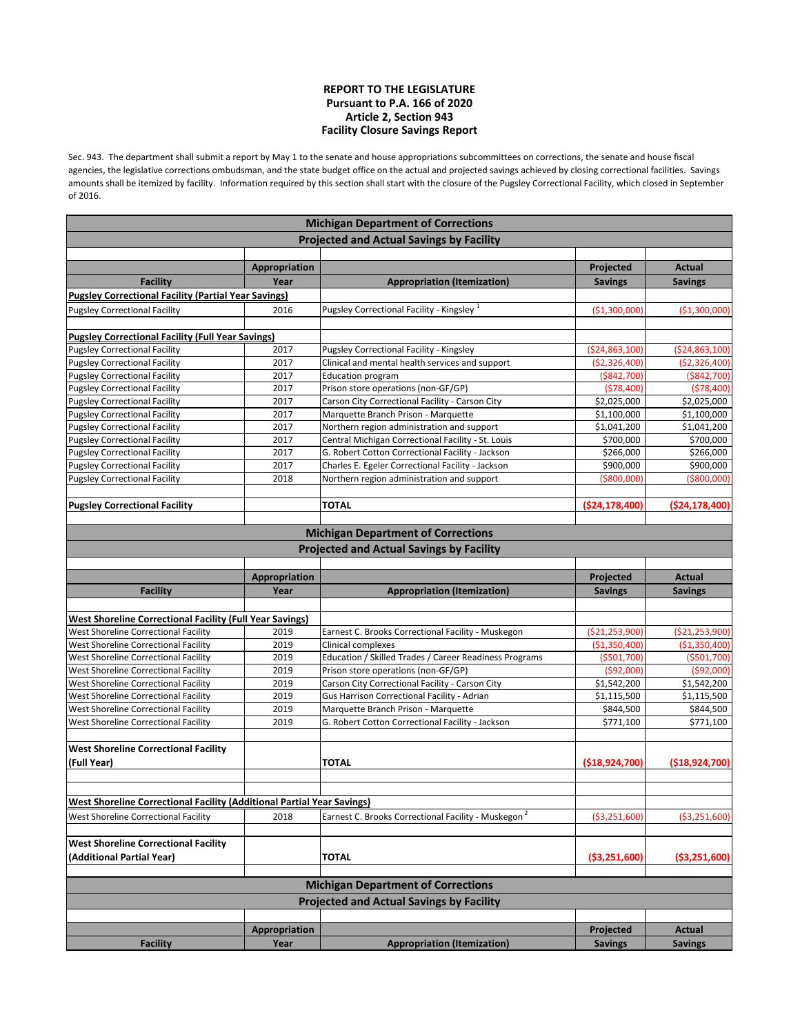## **REPORT TO THE LEGISLATURE Pursuant to P.A. 166 of 2020 Article 2, Section 943 Facility Closure Savings Report**

Sec. 943. The department shall submit a report by May 1 to the senate and house appropriations subcommittees on corrections, the senate and house fiscal agencies, the legislative corrections ombudsman, and the state budget office on the actual and projected savings achieved by closing correctional facilities. Savings amounts shall be itemized by facility. Information required by this section shall start with the closure of the Pugsley Correctional Facility, which closed in September of 2016.

|                                                                               |                       | <b>Michigan Department of Corrections</b>                       |                   |                                 |
|-------------------------------------------------------------------------------|-----------------------|-----------------------------------------------------------------|-------------------|---------------------------------|
|                                                                               |                       | <b>Projected and Actual Savings by Facility</b>                 |                   |                                 |
|                                                                               |                       |                                                                 |                   |                                 |
|                                                                               | Appropriation         |                                                                 | Projected         | <b>Actual</b>                   |
| <b>Facility</b>                                                               | Year                  | <b>Appropriation (Itemization)</b>                              | <b>Savings</b>    | <b>Savings</b>                  |
| <b>Pugsley Correctional Facility (Partial Year Savings)</b>                   |                       |                                                                 |                   |                                 |
| <b>Pugsley Correctional Facility</b>                                          | 2016                  | Pugsley Correctional Facility - Kingsley <sup>1</sup>           | ( \$1,300,000]    | ( \$1,300,000)                  |
| <b>Pugsley Correctional Facility (Full Year Savings)</b>                      |                       |                                                                 |                   |                                 |
| <b>Pugsley Correctional Facility</b>                                          | 2017                  | Pugsley Correctional Facility - Kingsley                        | (524, 863, 100)   | ( \$24, 863, 100)               |
| <b>Pugsley Correctional Facility</b>                                          | 2017                  | Clinical and mental health services and support                 | ( \$2,326,400]    | (\$2,326,400)                   |
| <b>Pugsley Correctional Facility</b>                                          | 2017                  | <b>Education program</b>                                        | ( \$842, 700]     | ( \$842, 700)                   |
| <b>Pugsley Correctional Facility</b>                                          | 2017                  | Prison store operations (non-GF/GP)                             | (578, 400)        | (578, 400)                      |
| <b>Pugsley Correctional Facility</b>                                          | 2017                  | Carson City Correctional Facility - Carson City                 | \$2,025,000       | \$2,025,000                     |
| <b>Pugsley Correctional Facility</b>                                          | 2017                  | Marquette Branch Prison - Marquette                             | \$1,100,000       | \$1,100,000                     |
| <b>Pugsley Correctional Facility</b>                                          | 2017                  | Northern region administration and support                      | \$1,041,200       | \$1,041,200                     |
| <b>Pugsley Correctional Facility</b>                                          | 2017                  | Central Michigan Correctional Facility - St. Louis              | \$700,000         | \$700,000                       |
| <b>Pugsley Correctional Facility</b>                                          | 2017                  | G. Robert Cotton Correctional Facility - Jackson                | \$266,000         | \$266,000                       |
| <b>Pugsley Correctional Facility</b>                                          | 2017                  | Charles E. Egeler Correctional Facility - Jackson               | \$900,000         | \$900,000                       |
| <b>Pugsley Correctional Facility</b>                                          | 2018                  | Northern region administration and support                      | ( \$800,000]      | ( \$800,000]                    |
|                                                                               |                       |                                                                 |                   |                                 |
| <b>Pugsley Correctional Facility</b>                                          |                       | <b>TOTAL</b>                                                    | ( \$24,178,400]   | ( \$24,178,400)                 |
|                                                                               |                       |                                                                 |                   |                                 |
|                                                                               |                       | <b>Michigan Department of Corrections</b>                       |                   |                                 |
|                                                                               |                       | <b>Projected and Actual Savings by Facility</b>                 |                   |                                 |
|                                                                               |                       |                                                                 |                   |                                 |
| <b>Facility</b>                                                               | Appropriation<br>Year | <b>Appropriation (Itemization)</b>                              | Projected         | <b>Actual</b><br><b>Savings</b> |
|                                                                               |                       |                                                                 | <b>Savings</b>    |                                 |
| <b>West Shoreline Correctional Facility (Full Year Savings)</b>               |                       |                                                                 |                   |                                 |
| West Shoreline Correctional Facility                                          | 2019                  | Earnest C. Brooks Correctional Facility - Muskegon              | ( \$21, 253, 900] | (\$21,253,900)                  |
| West Shoreline Correctional Facility                                          | 2019                  | Clinical complexes                                              | ( \$1,350,400]    | (\$1,350,400)                   |
| West Shoreline Correctional Facility                                          | 2019                  | Education / Skilled Trades / Career Readiness Programs          | ( \$501, 700]     | ( \$501, 700)                   |
| West Shoreline Correctional Facility                                          | 2019                  | Prison store operations (non-GF/GP)                             | (\$92,000]        | (592,000)                       |
| West Shoreline Correctional Facility                                          | 2019                  | Carson City Correctional Facility - Carson City                 | \$1,542,200       | \$1,542,200                     |
| West Shoreline Correctional Facility                                          | 2019                  | Gus Harrison Correctional Facility - Adrian                     | \$1,115,500       | \$1,115,500                     |
| West Shoreline Correctional Facility                                          | 2019                  | Marquette Branch Prison - Marquette                             | \$844,500         | \$844,500                       |
| West Shoreline Correctional Facility                                          | 2019                  | G. Robert Cotton Correctional Facility - Jackson                | \$771,100         | \$771,100                       |
|                                                                               |                       |                                                                 |                   |                                 |
| <b>West Shoreline Correctional Facility</b>                                   |                       |                                                                 |                   |                                 |
| (Full Year)                                                                   |                       | <b>TOTAL</b>                                                    | ( \$18,924,700 ]  | (\$18,924,700)                  |
|                                                                               |                       |                                                                 |                   |                                 |
| <b>West Shoreline Correctional Facility (Additional Partial Year Savings)</b> |                       |                                                                 |                   |                                 |
| West Shoreline Correctional Facility                                          | 2018                  | Earnest C. Brooks Correctional Facility - Muskegon <sup>2</sup> | ( \$3,251,600]    | ( \$3,251,600)                  |
|                                                                               |                       |                                                                 |                   |                                 |
| <b>West Shoreline Correctional Facility</b>                                   |                       |                                                                 |                   |                                 |
| (Additional Partial Year)                                                     |                       | <b>TOTAL</b>                                                    | ( \$3,251,600]    | ( \$3,251,600)                  |
|                                                                               |                       | <b>Michigan Department of Corrections</b>                       |                   |                                 |
|                                                                               |                       | <b>Projected and Actual Savings by Facility</b>                 |                   |                                 |
|                                                                               |                       |                                                                 |                   |                                 |
|                                                                               | Appropriation         |                                                                 | Projected         | <b>Actual</b>                   |
| <b>Facility</b>                                                               | Year                  | <b>Appropriation (Itemization)</b>                              | <b>Savings</b>    | <b>Savings</b>                  |